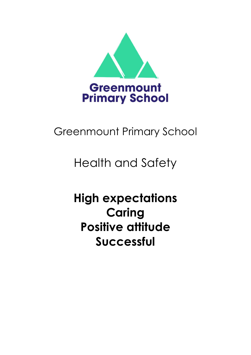

# Greenmount Primary School

# Health and Safety

# **High expectations Caring Positive attitude Successful**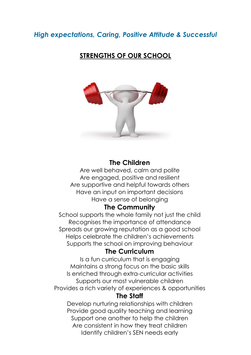# *High expectations, Caring, Positive Attitude & Successful*

# **STRENGTHS OF OUR SCHOOL**



# **The Children**

Are well behaved, calm and polite Are engaged, positive and resilient Are supportive and helpful towards others Have an input on important decisions Have a sense of belonging

# **The Community**

School supports the whole family not just the child Recognises the importance of attendance Spreads our growing reputation as a good school Helps celebrate the children's achievements Supports the school on improving behaviour

# **The Curriculum**

Is a fun curriculum that is engaging Maintains a strong focus on the basic skills Is enriched through extra-curricular activities Supports our most vulnerable children Provides a rich variety of experiences & opportunities

# **The Staff**

Develop nurturing relationships with children Provide good quality teaching and learning Support one another to help the children Are consistent in how they treat children Identify children's SEN needs early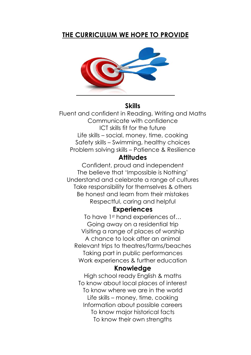# **THE CURRICULUM WE HOPE TO PROVIDE**



# **Skills**

Fluent and confident in Reading, Writing and Maths Communicate with confidence ICT skills fit for the future Life skills – social, money, time, cooking Safety skills – Swimming, healthy choices Problem solving skills – Patience & Resilience

# **Attitudes**

Confident, proud and independent The believe that 'Impossible is Nothing' Understand and celebrate a range of cultures Take responsibility for themselves & others Be honest and learn from their mistakes Respectful, caring and helpful

# **Experiences**

To have 1<sup>st</sup> hand experiences of... Going away on a residential trip Visiting a range of places of worship A chance to look after an animal Relevant trips to theatres/farms/beaches Taking part in public performances Work experiences & further education

# **Knowledge**

High school ready English & maths To know about local places of interest To know where we are in the world Life skills – money, time, cooking Information about possible careers To know major historical facts To know their own strengths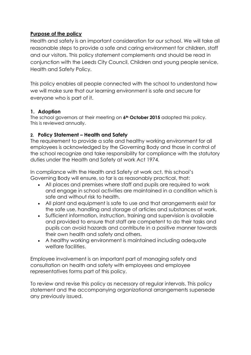# **Purpose of the policy**

Health and safety is an important consideration for our school. We will take all reasonable steps to provide a safe and caring environment for children, staff and our visitors. This policy statement complements and should be read in conjunction with the Leeds City Council, Children and young people service, Health and Safety Policy.

This policy enables all people connected with the school to understand how we will make sure that our learning environment is safe and secure for everyone who is part of it.

## **1. Adoption**

The school governors at their meeting on **6th October 2015** adopted this policy. This is reviewed annually.

## **2. Policy Statement – Health and Safety**

The requirement to provide a safe and healthy working environment for all employees is acknowledged by the Governing Body and those in control of the school recognize and take responsibility for compliance with the statutory duties under the Health and Safety at work Act 1974.

In compliance with the Health and Safety at work act, this school's Governing Body will ensure, so far is as reasonably practical, that:

- All places and premises where staff and pupils are required to work and engage in school activities are maintained in a condition which is safe and without risk to health.
- All plant and equipment is safe to use and that arrangements exist for the safe use, handling and storage of articles and substances at work.
- Sufficient information, instruction, training and supervision is available and provided to ensure that staff are competent to do their tasks and pupils can avoid hazards and contribute in a positive manner towards their own health and safety and others.
- A healthy working environment is maintained including adequate welfare facilities.

Employee involvement is an important part of managing safety and consultation on health and safety with employees and employee representatives forms part of this policy.

To review and revise this policy as necessary at regular intervals. This policy statement and the accompanying organizational arrangements supersede any previously issued.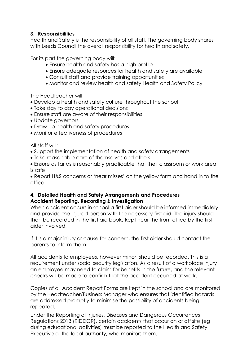# **3. Responsibilities**

Health and Safety is the responsibility of all staff. The governing body shares with Leeds Council the overall responsibility for health and safety.

For its part the governing body will:

- Ensure health and safety has a high profile
- Ensure adequate resources for health and safety are available
- Consult staff and provide training opportunities
- Monitor and review health and safety Health and Safety Policy

The Headteacher will:

- Develop a health and safety culture throughout the school
- Take day to day operational decisions
- Ensure staff are aware of their responsibilities
- Update governors
- Draw up health and safety procedures
- Monitor effectiveness of procedures

All staff will:

- Support the implementation of health and safety arrangements
- Take reasonable care of themselves and others

 Ensure as far as is reasonably practicable that their classroom or work area is safe

 Report H&S concerns or 'near misses' on the yellow form and hand in to the office

## **4. Detailed Health and Safety Arrangements and Procedures Accident Reporting, Recording & investigation**

When accident occurs in school a first aider should be informed immediately and provide the injured person with the necessary first aid. The injury should then be recorded in the first aid books kept near the front office by the first aider involved.

If it is a major injury or cause for concern, the first aider should contact the parents to inform them.

All accidents to employees, however minor, should be recorded. This is a requirement under social security legislation. As a result of a workplace injury an employee may need to claim for benefits in the future, and the relevant checks will be made to confirm that the accident occurred at work.

Copies of all Accident Report Forms are kept in the school and are monitored by the Headteacher/Business Manager who ensures that identified hazards are addressed promptly to minimise the possibility of accidents being repeated.

Under the Reporting of Injuries, Diseases and Dangerous Occurrences Regulations 2013 (RIDDOR), certain accidents that occur on or off site (eg during educational activities) must be reported to the Health and Safety Executive or the local authority, who monitors them.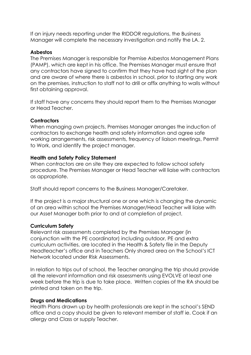If an injury needs reporting under the RIDDOR regulations, the Business Manager will complete the necessary investigation and notify the LA. 2.

## **Asbestos**

The Premises Manager is responsible for Premise Asbestos Management Plans (PAMP), which are kept in his office. The Premises Manager must ensure that any contractors have signed to confirm that they have had sight of the plan and are aware of where there is asbestos in school, prior to starting any work on the premises, instruction to staff not to drill or affix anything to walls without first obtaining approval.

If staff have any concerns they should report them to the Premises Manager or Head Teacher.

## **Contractors**

When managing own projects, Premises Manager arranges the induction of contractors to exchange health and safety information and agree safe working arrangements, risk assessments, frequency of liaison meetings, Permit to Work, and identify the project manager.

#### **Health and Safety Policy Statement**

When contractors are on site they are expected to follow school safety procedure. The Premises Manager or Head Teacher will liaise with contractors as appropriate.

Staff should report concerns to the Business Manager/Caretaker.

If the project is a major structural one or one which is changing the dynamic of an area within school the Premises Manager/Head Teacher will liaise with our Asset Manager both prior to and at completion of project.

#### **Curriculum Safety**

Relevant risk assessments completed by the Premises Manager (in conjunction with the PE coordinator) including outdoor, PE and extra curriculum activities, are located in the Health & Safety file in the Deputy Headteacher's office and in Teachers Only shared area on the School's ICT Network located under Risk Assessments.

In relation to trips out of school, the Teacher arranging the trip should provide all the relevant information and risk assessments using EVOLVE at least one week before the trip is due to take place. Written copies of the RA should be printed and taken on the trip.

## **Drugs and Medications**

Health Plans drawn up by health professionals are kept in the school's SEND office and a copy should be given to relevant member of staff ie. Cook if an allergy and Class or supply Teacher.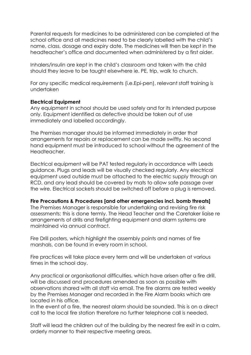Parental requests for medicines to be administered can be completed at the school office and all medicines need to be clearly labelled with the child's name, class, dosage and expiry date. The medicines will then be kept in the headteacher's office and documented when administered by a first aider.

Inhalers/insulin are kept in the child's classroom and taken with the child should they leave to be taught elsewhere ie. PE, trip, walk to church.

For any specific medical requirements (i.e.Epi-pen), relevant staff training is undertaken

#### **Electrical Equipment**

Any equipment in school should be used safely and for its intended purpose only. Equipment identified as defective should be taken out of use immediately and labelled accordingly.

The Premises manager should be informed immediately in order that arrangements for repairs or replacement can be made swiftly. No second hand equipment must be introduced to school without the agreement of the Headteacher.

Electrical equipment will be PAT tested regularly in accordance with Leeds guidance. Plugs and leads will be visually checked regularly. Any electrical equipment used outside must be attached to the electric supply through an RCD, and any lead should be covered by mats to allow safe passage over the wire. Electrical sockets should be switched off before a plug is removed.

## **Fire Precautions & Procedures [and other emergencies incl. bomb threats]**

The Premises Manager is responsible for undertaking and revising fire risk assessments; this is done termly. The Head Teacher and the Caretaker liaise re arrangements of drills and firefighting equipment and alarm systems are maintained via annual contract.

Fire Drill posters, which highlight the assembly points and names of fire marshals, can be found in every room in school.

Fire practices will take place every term and will be undertaken at various times in the school day.

Any practical or organisational difficulties, which have arisen after a fire drill, will be discussed and procedures amended as soon as possible with observations shared with all staff via email. The fire alarms are tested weekly by the Premises Manager and recorded in the Fire Alarm books which are located in his office.

In the event of a fire, the nearest alarm should be sounded. This is on a direct call to the local fire station therefore no further telephone call is needed.

Staff will lead the children out of the building by the nearest fire exit in a calm, orderly manner to their respective meeting areas.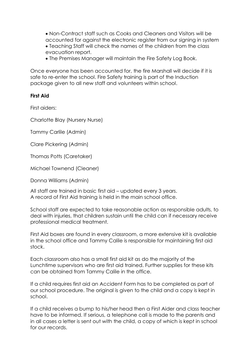Non-Contract staff such as Cooks and Cleaners and Visitors will be accounted for against the electronic register from our signing in system Teaching Staff will check the names of the children from the class evacuation report.

The Premises Manager will maintain the Fire Safety Log Book.

Once everyone has been accounted for, the fire Marshall will decide if it is safe to re-enter the school. Fire Safety training is part of the Induction package given to all new staff and volunteers within school.

#### **First Aid**

First aiders:

Charlotte Blay (Nursery Nurse)

Tammy Carlile (Admin)

Clare Pickering (Admin)

Thomas Potts (Caretaker)

Michael Townend (Cleaner)

Donna Williams (Admin)

All staff are trained in basic first aid – updated every 3 years. A record of First Aid training is held in the main school office.

School staff are expected to take reasonable action as responsible adults, to deal with injuries, that children sustain until the child can if necessary receive professional medical treatment.

First Aid boxes are found in every classroom, a more extensive kit is available in the school office and Tammy Calile is responsible for maintaining first aid stock.

Each classroom also has a small first aid kit as do the majority of the Lunchtime supervisors who are first aid trained. Further supplies for these kits can be obtained from Tammy Calile in the office.

If a child requires first aid an Accident Form has to be completed as part of our school procedure. The original is given to the child and a copy is kept in school.

If a child receives a bump to his/her head then a First Aider and class teacher have to be informed. If serious, a telephone call is made to the parents and in all cases a letter is sent out with the child, a copy of which is kept in school for our records.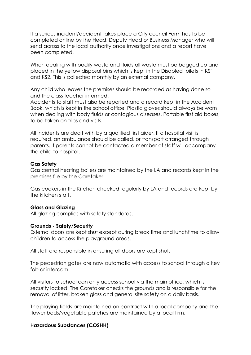If a serious incident/accident takes place a City council Form has to be completed online by the Head, Deputy Head or Business Manager who will send across to the local authority once investigations and a report have been completed.

When dealing with bodily waste and fluids all waste must be bagged up and placed in the yellow disposal bins which is kept in the Disabled toilets in KS1 and KS2. This is collected monthly by an external company.

Any child who leaves the premises should be recorded as having done so and the class teacher informed.

Accidents to staff must also be reported and a record kept in the Accident Book, which is kept in the school office. Plastic gloves should always be worn when dealing with body fluids or contagious diseases. Portable first aid boxes, to be taken on trips and visits.

All incidents are dealt with by a qualified first aider. If a hospital visit is required, an ambulance should be called, or transport arranged through parents. If parents cannot be contacted a member of staff will accompany the child to hospital.

#### **Gas Safety**

Gas central heating boilers are maintained by the LA and records kept in the premises file by the Caretaker.

Gas cookers in the Kitchen checked regularly by LA and records are kept by the kitchen staff.

#### **Glass and Glazing**

All glazing complies with safety standards.

#### **Grounds - Safety/Security**

External doors are kept shut except during break time and lunchtime to allow children to access the playground areas.

All staff are responsible in ensuring all doors are kept shut.

The pedestrian gates are now automatic with access to school through a key fob or intercom.

All visitors to school can only access school via the main office, which is security locked. The Caretaker checks the grounds and is responsible for the removal of litter, broken glass and general site safety on a daily basis.

The playing fields are maintained on contract with a local company and the flower beds/vegetable patches are maintained by a local firm.

#### **Hazardous Substances (COSHH)**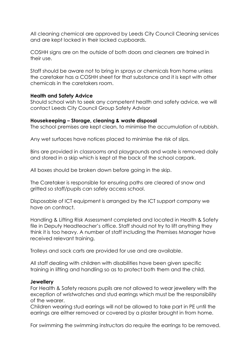All cleaning chemical are approved by Leeds City Council Cleaning services and are kept locked in their locked cupboards.

COSHH signs are on the outside of both doors and cleaners are trained in their use.

Staff should be aware not to bring in sprays or chemicals from home unless the caretaker has a COSHH sheet for that substance and it is kept with other chemicals in the caretakers room.

## **Health and Safety Advice**

Should school wish to seek any competent health and safety advice, we will contact Leeds City Council Group Safety Advisor

#### **Housekeeping – Storage, cleaning & waste disposal**

The school premises are kept clean, to minimise the accumulation of rubbish.

Any wet surfaces have notices placed to minimise the risk of slips.

Bins are provided in classrooms and playgrounds and waste is removed daily and stored in a skip which is kept at the back of the school carpark.

All boxes should be broken down before going in the skip.

The Caretaker is responsible for ensuring paths are cleared of snow and gritted so staff/pupils can safely access school.

Disposable of ICT equipment is arranged by the ICT support company we have on contract.

Handling & Lifting Risk Assessment completed and located in Health & Safety file in Deputy Headteacher's office. Staff should not try to lift anything they think it is too heavy. A number of staff including the Premises Manager have received relevant training.

Trolleys and sack carts are provided for use and are available.

All staff dealing with children with disabilities have been given specific training in lifting and handling so as to protect both them and the child.

#### **Jewellery**

For Health & Safety reasons pupils are not allowed to wear jewellery with the exception of wristwatches and stud earrings which must be the responsibility of the wearer.

Children wearing stud earrings will not be allowed to take part in PE until the earrings are either removed or covered by a plaster brought in from home.

For swimming the swimming instructors do require the earrings to be removed.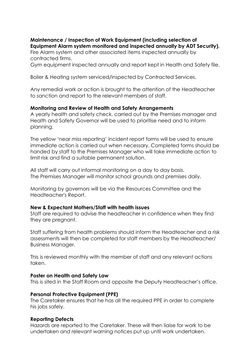# **Maintenance / Inspection of Work Equipment (including selection of Equipment Alarm system monitored and inspected annually by ADT Security).**

Fire Alarm system and other associated items inspected annually by contracted firms.

Gym equipment inspected annually and report kept in Health and Safety file.

Boiler & Heating system serviced/inspected by Contracted Services.

Any remedial work or action is brought to the attention of the Headteacher to sanction and report to the relevant members of staff.

## **Monitoring and Review of Health and Safety Arrangements**

A yearly health and safety check, carried out by the Premises manager and Health and Safety Governor will be used to prioritise need and to inform planning.

The yellow 'near miss reporting' incident report forms will be used to ensure immediate action is carried out when necessary. Completed forms should be handed by staff to the Premises Manager who will take immediate action to limit risk and find a suitable permanent solution.

All staff will carry out informal monitoring on a day to day basis. The Premises Manager will monitor school grounds and premises daily.

Monitoring by governors will be via the Resources Committee and the Headteacher's Report.

## **New & Expectant Mothers/Staff with health issues**

Staff are required to advise the headteacher in confidence when they find they are pregnant.

Staff suffering from health problems should inform the Headteacher and a risk assessments will then be completed for staff members by the Headteacher/ Business Manager.

This is reviewed monthly with the member of staff and any relevant actions taken.

## **Poster on Health and Safety Law**

This is sited in the Staff Room and opposite the Deputy Headteacher's office.

## **Personal Protective Equipment (PPE)**

The Caretaker ensures that he has all the required PPE in order to complete his jobs safely.

## **Reporting Defects**

Hazards are reported to the Caretaker. These will then liaise for work to be undertaken and relevant warning notices put up until work undertaken.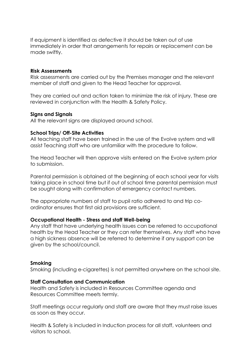If equipment is identified as defective it should be taken out of use immediately in order that arrangements for repairs or replacement can be made swiftly.

#### **Risk Assessments**

Risk assessments are carried out by the Premises manager and the relevant member of staff and given to the Head Teacher for approval.

They are carried out and action taken to minimize the risk of injury. These are reviewed in conjunction with the Health & Safety Policy.

#### **Signs and Signals**

All the relevant signs are displayed around school.

#### **School Trips/ Off-Site Activities**

All teaching staff have been trained in the use of the Evolve system and will assist Teaching staff who are unfamiliar with the procedure to follow.

The Head Teacher will then approve visits entered on the Evolve system prior to submission.

Parental permission is obtained at the beginning of each school year for visits taking place in school time but if out of school time parental permission must be sought along with confirmation of emergency contact numbers.

The appropriate numbers of staff to pupil ratio adhered to and trip coordinator ensures that first aid provisions are sufficient.

#### **Occupational Health - Stress and staff Well-being**

Any staff that have underlying health issues can be referred to occupational health by the Head Teacher or they can refer themselves. Any staff who have a high sickness absence will be referred to determine if any support can be given by the school/council.

## **Smoking**

Smoking (including e-cigarettes) is not permitted anywhere on the school site.

## **Staff Consultation and Communication**

Health and Safety is included in Resources Committee agenda and Resources Committee meets termly.

Staff meetings occur regularly and staff are aware that they must raise issues as soon as they occur.

Health & Safety is included in Induction process for all staff, volunteers and visitors to school.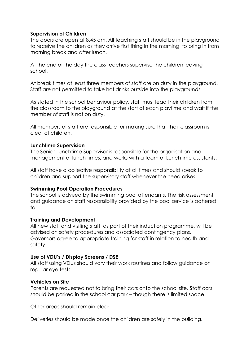## **Supervision of Children**

The doors are open at 8.45 am. All teaching staff should be in the playground to receive the children as they arrive first thing in the morning, to bring in from morning break and after lunch.

At the end of the day the class teachers supervise the children leaving school.

At break times at least three members of staff are on duty in the playground. Staff are not permitted to take hot drinks outside into the playgrounds.

As stated in the school behaviour policy, staff must lead their children from the classroom to the playground at the start of each playtime and wait if the member of staff is not on duty.

All members of staff are responsible for making sure that their classroom is clear of children.

#### **Lunchtime Supervision**

The Senior Lunchtime Supervisor is responsible for the organisation and management of lunch times, and works with a team of Lunchtime assistants.

All staff have a collective responsibility at all times and should speak to children and support the supervisory staff whenever the need arises.

## **Swimming Pool Operation Procedures**

The school is advised by the swimming pool attendants. The risk assessment and guidance on staff responsibility provided by the pool service is adhered to.

## **Training and Development**

All new staff and visiting staff, as part of their induction programme, will be advised on safety procedures and associated contingency plans. Governors agree to appropriate training for staff in relation to health and safety.

## **Use of VDU's / Display Screens / DSE**

All staff using VDUs should vary their work routines and follow guidance on regular eye tests.

#### **Vehicles on Site**

Parents are requested not to bring their cars onto the school site. Staff cars should be parked in the school car park – though there is limited space.

Other areas should remain clear.

Deliveries should be made once the children are safely in the building.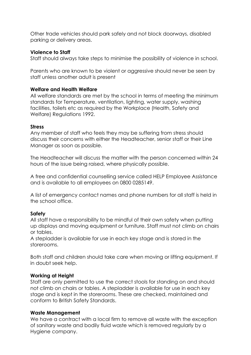Other trade vehicles should park safely and not block doorways, disabled parking or delivery areas.

## **Violence to Staff**

Staff should always take steps to minimise the possibility of violence in school.

Parents who are known to be violent or aggressive should never be seen by staff unless another adult is present

# **Welfare and Health Welfare**

All welfare standards are met by the school in terms of meeting the minimum standards for Temperature, ventilation, lighting, water supply, washing facilities, toilets etc as required by the Workplace (Health, Safety and Welfare) Regulations 1992.

## **Stress**

Any member of staff who feels they may be suffering from stress should discuss their concerns with either the Headteacher, senior staff or their Line Manager as soon as possible.

The Headteacher will discuss the matter with the person concerned within 24 hours of the issue being raised, where physically possible.

A free and confidential counselling service called HELP Employee Assistance and is available to all employees on 0800 0285149.

A list of emergency contact names and phone numbers for all staff is held in the school office.

# **Safety**

All staff have a responsibility to be mindful of their own safety when putting up displays and moving equipment or furniture. Staff must not climb on chairs or tables.

A stepladder is available for use in each key stage and is stored in the storerooms.

Both staff and children should take care when moving or lifting equipment. If in doubt seek help.

# **Working at Height**

Staff are only permitted to use the correct stools for standing on and should not climb on chairs or tables. A stepladder is available for use in each key stage and is kept in the storerooms. These are checked, maintained and conform to British Safety Standards.

## **Waste Management**

We have a contract with a local firm to remove all waste with the exception of sanitary waste and bodily fluid waste which is removed regularly by a Hygiene company.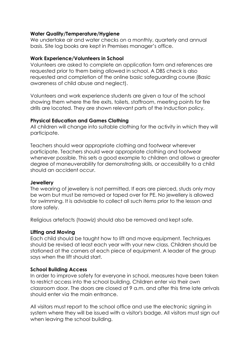#### **Water Quality/Temperature/Hygiene**

We undertake air and water checks on a monthly, quarterly and annual basis. Site log books are kept in Premises manager's office.

#### **Work Experience/Volunteers in School**

Volunteers are asked to complete an application form and references are requested prior to them being allowed in school. A DBS check is also requested and completion of the online basic safeguarding course (Basic awareness of child abuse and neglect).

Volunteers and work experience students are given a tour of the school showing them where the fire exits, toilets, staffroom, meeting points for fire drills are located. They are shown relevant parts of the Induction policy.

#### **Physical Education and Games Clothing**

All children will change into suitable clothing for the activity in which they will participate.

Teachers should wear appropriate clothing and footwear wherever participate. Teachers should wear appropriate clothing and footwear whenever possible. This sets a good example to children and allows a greater degree of maneuverability for demonstrating skills, or accessibility to a child should an accident occur.

#### **Jewellery**

The wearing of jewellery is not permitted. If ears are pierced, studs only may be worn but must be removed or taped over for PE. No jewellery is allowed for swimming. It is advisable to collect all such items prior to the lesson and store safely.

Religious artefacts (taawiz) should also be removed and kept safe.

## **Lifting and Moving**

Each child should be taught how to lift and move equipment. Techniques should be revised at least each year with your new class. Children should be stationed at the corners of each piece of equipment. A leader of the group says when the lift should start.

## **School Building Access**

In order to improve safety for everyone in school, measures have been taken to restrict access into the school building. Children enter via their own classroom door. The doors are closed at 9 a.m. and after this time late arrivals should enter via the main entrance.

All visitors must report to the school office and use the electronic signing in system where they will be issued with a visitor's badge. All visitors must sign out when leaving the school building.